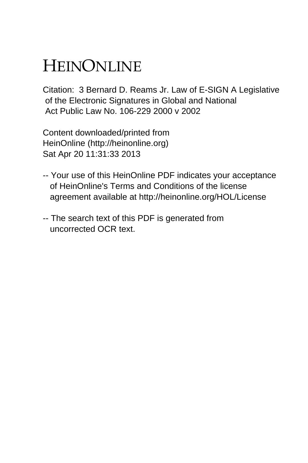# HEINONLINE

Citation: 3 Bernard D. Reams Jr. Law of E-SIGN A Legislative of the Electronic Signatures in Global and National Act Public Law No. 106-229 2000 v 2002

Content downloaded/printed from HeinOnline (http://heinonline.org) Sat Apr 20 11:31:33 2013

- -- Your use of this HeinOnline PDF indicates your acceptance of HeinOnline's Terms and Conditions of the license agreement available at http://heinonline.org/HOL/License
- -- The search text of this PDF is generated from uncorrected OCR text.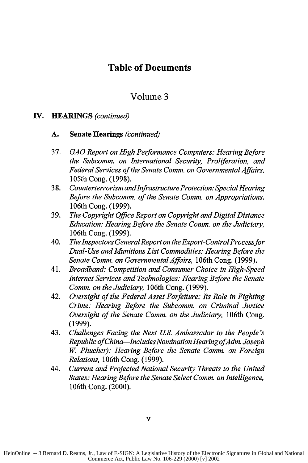### **Table of Documents**

#### Volume 3

#### **IV. HEARINGS** *(continued)*

- **A.** Senate Hearings *(continued)*
- 37. *GAO Report on High Performance Computers: Hearing Before the Subcomm. on International Security, Proliferation, and Federal Services of the Senate Comm. on Governmental Affairs,* 105th Cong. (1998).
- 38. *Counterterrorism andinfrastructure Protection: Special Hearing Before the Subcomm. of the Senate Comm. on Appropriations,* 106th Cong. (1999).
- 39. *The Copyright Office Report on Copyright and Digital Distance Education: Hearing Before the Senate Comm. on the Judiciary,* 106th Cong. (1999).
- 40. *The Inspectors GeneralReport on the Export-ControlProcess for Dual- Use and Munitions List Commodities: Hearing Before the Senate Comm. on Governmental Affairs,* 106th Cong. (1999).
- 41. *Broadband: Competition and Consumer Choice in High-Speed Internet Services and Technologies: Hearing Before the Senate Comm. on the Judiciary,* 106th Cong. (1999).
- 42. *Oversight of the Federal Asset Forfeiture: Its Role in Fighting Crime: Hearing Before the Subcomm. on Criminal Justice Oversight of the Senate Comm. on the Judiciary,* 106th Cong. (1999).
- 43. *Challenges Facing the Next US. Ambassador to the People's Republic of China-Includes Nomination Hearing ofAdm. Joseph W. Phueher): Hearing Before the Senate Comm. on Foreign Relations,* 106th Cong. (1999).
- 44. *Current and Projected National Security Threats to the United States: Hearing Before the Senate Select Comm. on Intelligence,* 106th Cong. (2000).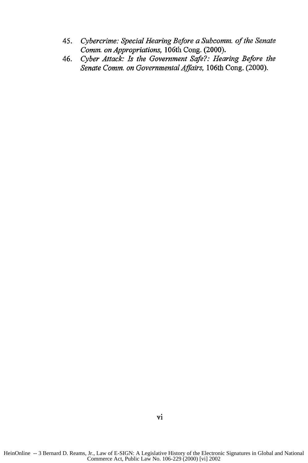- *45. Cybercrime: Special Hearing Before a Subcomm. of the Senate Comm. on Appropriations,* 106th Cong. (2000).
- *46. Cyber Attack: Is the Government Safe?: Hearing Before the Senate Comm. on Governmental Affairs,* 106th Cong. (2000).

HeinOnline -- 3 Bernard D. Reams, Jr., Law of E-SIGN: A Legislative History of the Electronic Signatures in Global and National Commerce Act, Public Law No. 106-229 (2000) [vi] 2002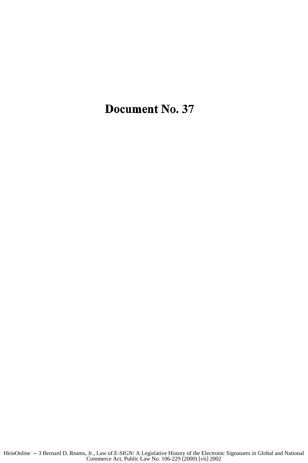## **Document** No. **37**